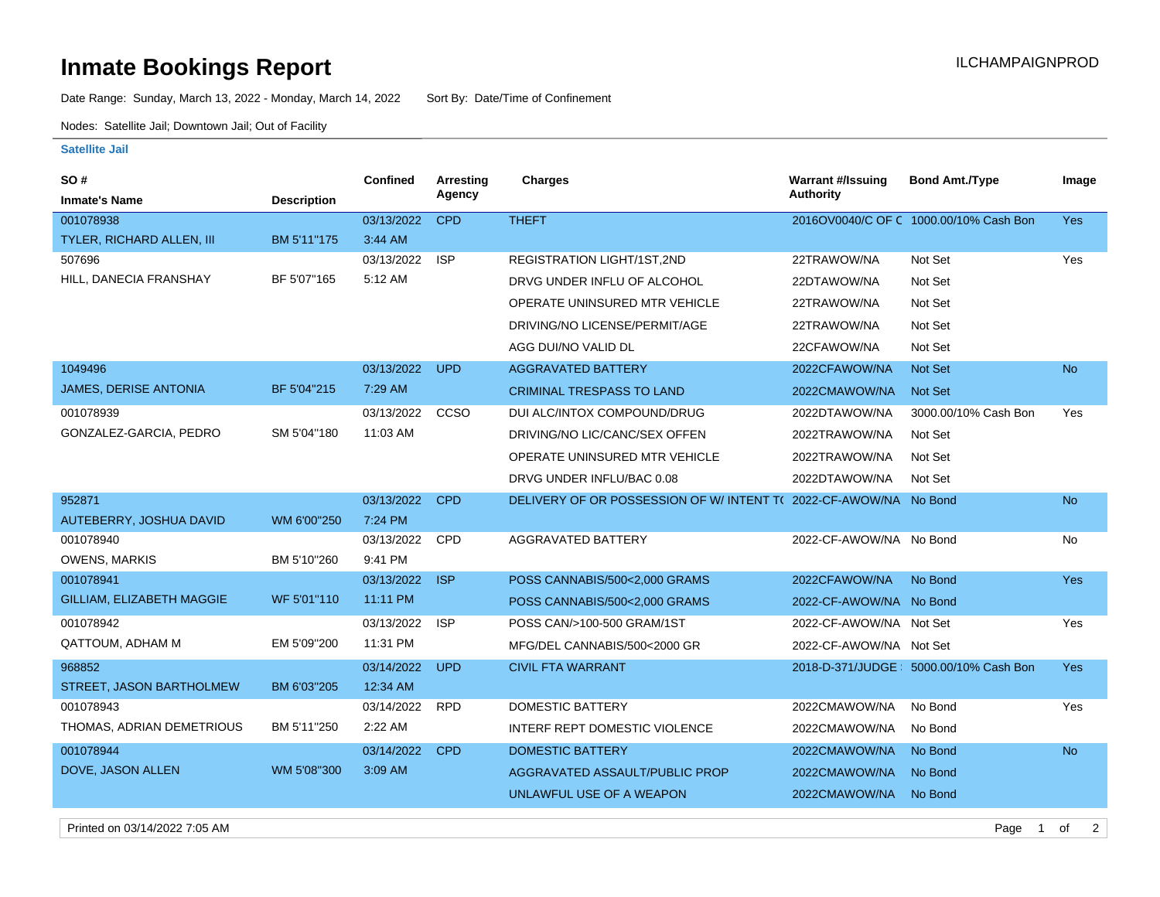## **Inmate Bookings Report Inmate Bookings Report**

Date Range: Sunday, March 13, 2022 - Monday, March 14, 2022 Sort By: Date/Time of Confinement

Nodes: Satellite Jail; Downtown Jail; Out of Facility

## **Satellite Jail**

| SO#                              |                    | <b>Confined</b> | Arresting<br>Agency | <b>Charges</b>                                                    | <b>Warrant #/Issuing</b><br><b>Authority</b> | <b>Bond Amt./Type</b>                   | Image      |
|----------------------------------|--------------------|-----------------|---------------------|-------------------------------------------------------------------|----------------------------------------------|-----------------------------------------|------------|
| <b>Inmate's Name</b>             | <b>Description</b> |                 |                     |                                                                   |                                              |                                         |            |
| 001078938                        |                    | 03/13/2022      | <b>CPD</b>          | <b>THEFT</b>                                                      |                                              | 2016OV0040/C OF C 1000.00/10% Cash Bon  | <b>Yes</b> |
| <b>TYLER, RICHARD ALLEN, III</b> | BM 5'11"175        | 3:44 AM         |                     |                                                                   |                                              |                                         |            |
| 507696                           |                    | 03/13/2022      | <b>ISP</b>          | REGISTRATION LIGHT/1ST,2ND                                        | 22TRAWOW/NA                                  | Not Set                                 | Yes        |
| HILL, DANECIA FRANSHAY           | BF 5'07"165        | 5:12 AM         |                     | DRVG UNDER INFLU OF ALCOHOL                                       | 22DTAWOW/NA                                  | Not Set                                 |            |
|                                  |                    |                 |                     | OPERATE UNINSURED MTR VEHICLE                                     | 22TRAWOW/NA                                  | Not Set                                 |            |
|                                  |                    |                 |                     | DRIVING/NO LICENSE/PERMIT/AGE                                     | 22TRAWOW/NA                                  | Not Set                                 |            |
|                                  |                    |                 |                     | AGG DUI/NO VALID DL                                               | 22CFAWOW/NA                                  | Not Set                                 |            |
| 1049496                          |                    | 03/13/2022      | <b>UPD</b>          | <b>AGGRAVATED BATTERY</b>                                         | 2022CFAWOW/NA                                | <b>Not Set</b>                          | <b>No</b>  |
| <b>JAMES, DERISE ANTONIA</b>     | BF 5'04"215        | 7:29 AM         |                     | <b>CRIMINAL TRESPASS TO LAND</b>                                  | 2022CMAWOW/NA                                | <b>Not Set</b>                          |            |
| 001078939                        |                    | 03/13/2022      | CCSO                | DUI ALC/INTOX COMPOUND/DRUG                                       | 2022DTAWOW/NA                                | 3000.00/10% Cash Bon                    | Yes        |
| GONZALEZ-GARCIA, PEDRO           | SM 5'04"180        | 11:03 AM        |                     | DRIVING/NO LIC/CANC/SEX OFFEN                                     | 2022TRAWOW/NA                                | Not Set                                 |            |
|                                  |                    |                 |                     | OPERATE UNINSURED MTR VEHICLE                                     | 2022TRAWOW/NA                                | Not Set                                 |            |
|                                  |                    |                 |                     | DRVG UNDER INFLU/BAC 0.08                                         | 2022DTAWOW/NA                                | Not Set                                 |            |
| 952871                           |                    | 03/13/2022      | <b>CPD</b>          | DELIVERY OF OR POSSESSION OF W/ INTENT T( 2022-CF-AWOW/NA No Bond |                                              |                                         | <b>No</b>  |
| AUTEBERRY, JOSHUA DAVID          | WM 6'00"250        | 7:24 PM         |                     |                                                                   |                                              |                                         |            |
| 001078940                        |                    | 03/13/2022      | CPD                 | <b>AGGRAVATED BATTERY</b>                                         | 2022-CF-AWOW/NA No Bond                      |                                         | No         |
| <b>OWENS, MARKIS</b>             | BM 5'10"260        | 9:41 PM         |                     |                                                                   |                                              |                                         |            |
| 001078941                        |                    | 03/13/2022      | <b>ISP</b>          | POSS CANNABIS/500<2.000 GRAMS                                     | 2022CFAWOW/NA                                | No Bond                                 | <b>Yes</b> |
| <b>GILLIAM, ELIZABETH MAGGIE</b> | WF 5'01"110        | 11:11 PM        |                     | POSS CANNABIS/500<2,000 GRAMS                                     | 2022-CF-AWOW/NA No Bond                      |                                         |            |
| 001078942                        |                    | 03/13/2022      | <b>ISP</b>          | POSS CAN/>100-500 GRAM/1ST                                        | 2022-CF-AWOW/NA Not Set                      |                                         | Yes        |
| <b>QATTOUM, ADHAM M</b>          | EM 5'09"200        | 11:31 PM        |                     | MFG/DEL CANNABIS/500<2000 GR                                      | 2022-CF-AWOW/NA Not Set                      |                                         |            |
| 968852                           |                    | 03/14/2022      | <b>UPD</b>          | <b>CIVIL FTA WARRANT</b>                                          |                                              | 2018-D-371/JUDGE   5000.00/10% Cash Bon | Yes        |
| STREET, JASON BARTHOLMEW         | BM 6'03"205        | 12:34 AM        |                     |                                                                   |                                              |                                         |            |
| 001078943                        |                    | 03/14/2022      | <b>RPD</b>          | <b>DOMESTIC BATTERY</b>                                           | 2022CMAWOW/NA                                | No Bond                                 | Yes        |
| THOMAS, ADRIAN DEMETRIOUS        | BM 5'11"250        | 2:22 AM         |                     | INTERF REPT DOMESTIC VIOLENCE                                     | 2022CMAWOW/NA                                | No Bond                                 |            |
| 001078944                        |                    | 03/14/2022      | <b>CPD</b>          | <b>DOMESTIC BATTERY</b>                                           | 2022CMAWOW/NA                                | No Bond                                 | <b>No</b>  |
| DOVE, JASON ALLEN                | WM 5'08"300        | 3:09 AM         |                     | AGGRAVATED ASSAULT/PUBLIC PROP                                    | 2022CMAWOW/NA                                | No Bond                                 |            |
|                                  |                    |                 |                     | UNLAWFUL USE OF A WEAPON                                          | 2022CMAWOW/NA                                | No Bond                                 |            |
|                                  |                    |                 |                     |                                                                   |                                              |                                         |            |

Printed on 03/14/2022 7:05 AM Page 1 of 2